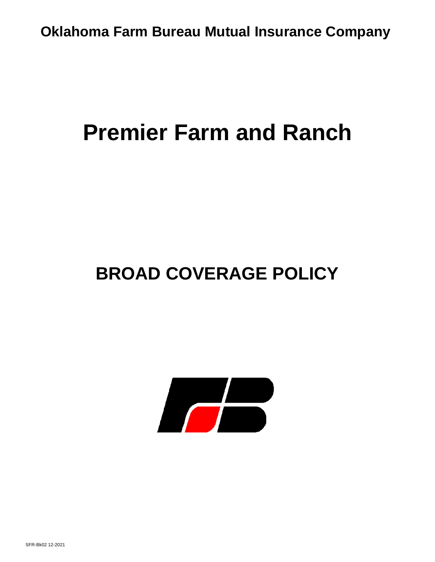# **Premier Farm and Ranch**

# **BROAD COVERAGE POLICY**

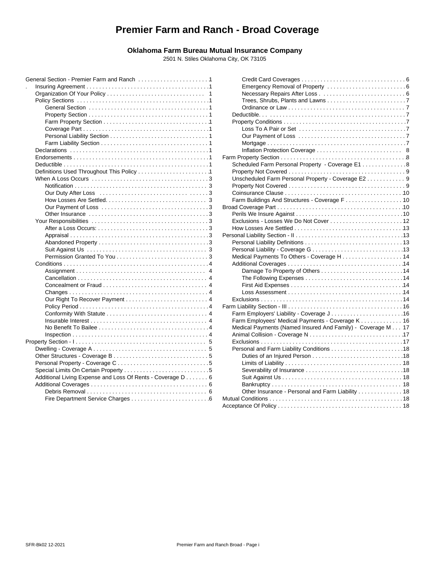# **Premier Farm and Ranch - Broad Coverage**

#### **Oklahoma Farm Bureau Mutual Insurance Company**

2501 N. Stiles Oklahoma City, OK 73105

|                                                            | D <sub>t</sub> |
|------------------------------------------------------------|----------------|
|                                                            | Pr             |
|                                                            |                |
|                                                            |                |
|                                                            |                |
|                                                            |                |
|                                                            | Farm           |
|                                                            | S <sub>c</sub> |
|                                                            | Pr             |
|                                                            | Uı             |
|                                                            | Pr             |
|                                                            | C              |
|                                                            | Fε             |
|                                                            | <b>Broad</b>   |
|                                                            | $P_6$          |
|                                                            | E)             |
|                                                            | H              |
|                                                            | Perso          |
|                                                            | $P_6$          |
|                                                            | $P_6$          |
|                                                            | M              |
|                                                            | A٥             |
|                                                            |                |
|                                                            |                |
|                                                            |                |
|                                                            |                |
|                                                            | E)             |
|                                                            | Farm           |
|                                                            | Fε             |
|                                                            | Fε             |
|                                                            | M              |
|                                                            | Ar             |
|                                                            | E)             |
|                                                            | $P_6$          |
|                                                            |                |
|                                                            |                |
|                                                            |                |
| Additional Living Expense and Loss Of Rents - Coverage D 6 |                |
|                                                            |                |
|                                                            |                |
|                                                            | Mutua          |

| .1 |                                                             |  |
|----|-------------------------------------------------------------|--|
| 1  |                                                             |  |
| 1  |                                                             |  |
| 1  |                                                             |  |
| 1  |                                                             |  |
| 1  |                                                             |  |
| 1  |                                                             |  |
| 1  |                                                             |  |
| 1  |                                                             |  |
| 1  |                                                             |  |
| 1  |                                                             |  |
| 1  |                                                             |  |
| 1  | Scheduled Farm Personal Property - Coverage E1 8            |  |
| 1  |                                                             |  |
| 3  | Unscheduled Farm Personal Property - Coverage E2 9          |  |
| 3  |                                                             |  |
| 3  |                                                             |  |
| 3  |                                                             |  |
| 3  |                                                             |  |
| 3  |                                                             |  |
| 3  |                                                             |  |
| 3  |                                                             |  |
| 3  |                                                             |  |
| 3  |                                                             |  |
| 3  |                                                             |  |
| 3  |                                                             |  |
| 4  |                                                             |  |
| 4  |                                                             |  |
| 4  |                                                             |  |
| 4  |                                                             |  |
| 4  |                                                             |  |
| 4  |                                                             |  |
| 4  |                                                             |  |
| 4  | Farm Employers' Liability - Coverage J16                    |  |
| 4  | Farm Employees' Medical Payments - Coverage K 16            |  |
| 4  | Medical Payments (Named Insured And Family) - Coverage M 17 |  |
| 4  |                                                             |  |
| 5  |                                                             |  |
| 5  |                                                             |  |
| 5  |                                                             |  |
| 5  |                                                             |  |
| 5  |                                                             |  |
| 6  |                                                             |  |
| 6  |                                                             |  |
| 6  | Other Insurance - Personal and Farm Liability 18            |  |
| 6  |                                                             |  |
|    |                                                             |  |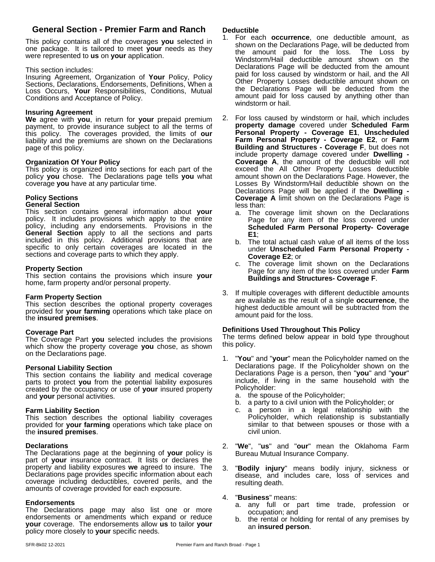## **General Section - Premier Farm and Ranch**

This policy contains all of the coverages **you** selected in one package. It is tailored to meet **your** needs as they were represented to **us** on **your** application.

#### This section includes:

Insuring Agreement, Organization of **Your** Policy, Policy Sections, Declarations, Endorsements, Definitions, When a Loss Occurs, **Your** Responsibilities, Conditions, Mutual Conditions and Acceptance of Policy.

### **Insuring Agreement**

**We** agree with **you**, in return for **your** prepaid premium payment, to provide insurance subject to all the terms of this policy. The coverages provided, the limits of **our** liability and the premiums are shown on the Declarations page of this policy.

### **Organization Of Your Policy**

This policy is organized into sections for each part of the policy **you** chose. The Declarations page tells **you** what coverage **you** have at any particular time.

# **Policy Sections**

# **General Section**

This section contains general information about **your** policy. It includes provisions which apply to the entire policy, including any endorsements. Provisions in the **General Section** apply to all the sections and parts included in this policy. Additional provisions that are  $P_{\rm b}$  The specific to only certain coverages are located in the  $\frac{m}{\text{under}}$ sections and coverage parts to which they apply.

#### **Property Section**

This section contains the provisions which insure **your** home, farm property and/or personal property.

#### **Farm Property Section**

This section describes the optional property coverages provided for **your farming** operations which take place on the **insured premises**.

#### **Coverage Part**

The Coverage Part **you** selected includes the provisions which show the property coverage **you** chose, as shown on the Declarations page.

#### **Personal Liability Section**

This section contains the liability and medical coverage parts to protect you from the potential liability exposures created by the occupancy or use of **your** insured property and **your** personal activities.

#### **Farm Liability Section**

This section describes the optional liability coverages provided for **your farming** operations which take place on the **insured premises**.

#### **Declarations**

The Declarations page at the beginning of **your** policy is part of **your** insurance contract. It lists or declares the property and liability exposures **we** agreed to insure. The Declarations page provides specific information about each coverage including deductibles, covered perils, and the amounts of coverage provided for each exposure.

#### **Endorsements**

The Declarations page may also list one or more endorsements or amendments which expand or reduce **your** coverage. The endorsements allow **us** to tailor **your** policy more closely to **your** specific needs.

#### **Deductible**

- 1. For each **occurrence**, one deductible amount, as shown on the Declarations Page, will be deducted from the amount paid for the loss. The Loss by Windstorm/Hail deductible amount shown on the Declarations Page will be deducted from the amount paid for loss caused by windstorm or hail, and the All Other Property Losses deductible amount shown on the Declarations Page will be deducted from the amount paid for loss caused by anything other than windstorm or hail.
- 2. For loss caused by windstorm or hail, which includes **property damage** covered under **Scheduled Farm Personal Property - Coverage E1**, **Unscheduled Farm Personal Property - Coverage E2**, or **Farm Building and Structures - Coverage F**, but does not include property damage covered under **Dwelling - Coverage A**, the amount of the deductible will not exceed the All Other Property Losses deductible amount shown on the Declarations Page. However, the Losses By Windstorm/Hail deductible shown on the Declarations Page will be applied if the **Dwelling - Coverage A** limit shown on the Declarations Page is less than:
	- a. The coverage limit shown on the Declarations Page for any item of the loss covered under **Scheduled Farm Personal Property- Coverage E1**;
	- b. The total actual cash value of all items of the loss under **Unscheduled Farm Personal Property - Coverage E2**; or
	- The coverage limit shown on the Declarations Page for any item of the loss covered under**Farm Buildings and Structures- Coverage F**.
- 3. If multiple coverages with different deductible amounts are available as the result of a single **occurrence**, the highest deductible amount will be subtracted from the amount paid for the loss.

#### **Definitions Used Throughout This Policy**

The terms defined below appear in bold type throughout this policy.

- 1. "**You**" and "**your**" mean the Policyholder named on the Declarations page. If the Policyholder shown on the Declarations Page is a person, then "**you**" and "**your**" include, if living in the same household with the Policyholder:
	- a. the spouse of the Policyholder;
	- b. a party to a civil union with the Policyholder; or
	- a person in a legal relationship with the Policyholder, which relationship is substantially similar to that between spouses or those with a civil union.
- 2. "**We**", "**us**" and "**our**" mean the Oklahoma Farm Bureau Mutual Insurance Company.
- 3. "**Bodily injury**" means bodily injury, sickness or disease, and includes care, loss of services and resulting death.

#### 4. "**Business**" means:

- a. any full or part time trade, profession or occupation; and
- b. the rental or holding for rental of any premises by an **insured person**.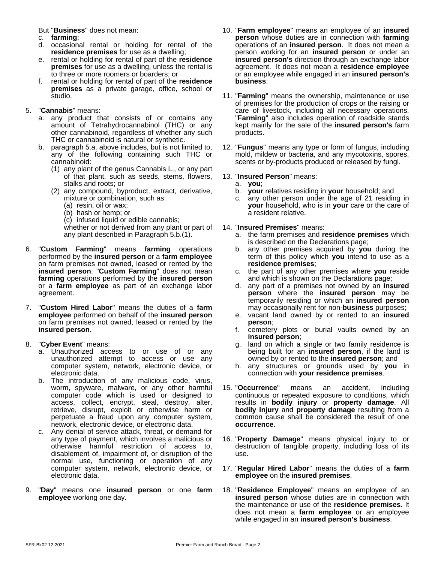But "**Business**" does not mean:

- c. **farming**;
- d. occasional rental or holding for rental of the **residence premises** for use as a dwelling;
- e. rental or holding for rental of part of the **residence premises** for use as a dwelling, unless the rental is to three or more roomers or boarders; or
- f. rental or holding for rental of part of the **residence premises** as a private garage, office, school or studio.

#### 5. "**Cannabis**" means:

- a. any product that consists of or contains any amount of Tetrahydrocannabinol (THC) or any other cannabinoid, regardless of whether any such THC or cannabinoid is natural or synthetic.
- b. paragraph 5.a. above includes, but is not limited to, any of the following containing such THC or cannabinoid:
	- (1) any plant of the genus Cannabis L., or any part of that plant, such as seeds, stems, flowers, stalks and roots; or
	- (2) any compound, byproduct, extract, derivative, mixture or combination, such as:
		- (a) resin, oil or wax;
		- (b) hash or hemp; or
		- (c) infused liquid or edible cannabis;

whether or not derived from any plant or part of any plant described in Paragraph 5.b.(1).

- 6. "**Custom Farming**" means **farming** operations performed by the **insured person** or a **farm employee** on farm premises not owned, leased or rented by the **insured person. "Custom Farming"** does not mean c. the p **farming** operations performed by the **insured person** or a **farm employee** as part of an exchange labor agreement.
- 7. "**Custom Hired Labor**" means the duties of a **farm employee** performed on behalf of the **insured person** on farm premises not owned, leased or rented by the **insured person**.
- 8. "**Cyber Event**" means:
	- a. Unauthorized access to or use of or any unauthorized attempt to access or use any computer system, network, electronic device, or electronic data.
	- b. The introduction of any malicious code, virus, worm, spyware, malware, or any other harmful computer code which is used or designed to access, collect, encrypt, steal, destroy, alter, retrieve, disrupt, exploit or otherwise harm or perpetuate a fraud upon any computer system, network, electronic device, or electronic data.
	- c. Any denial of service attack, threat, or demand for any type of payment, which involves a malicious or otherwise harmful restriction of access to, disablement of, impairment of, or disruption of the normal use, functioning or operation of any computer system, network, electronic device, or electronic data.
- 9. "**Day**" means one **insured person** or one **farm employee** working one day.
- 10. "**Farm employee**" means an employee of an **insured person** whose duties are in connection with **farming** operations of an **insured person**. It does not mean a person working for an **insured person** or under an **insured person's** direction through an exchange labor agreement. It does not mean a **residence employee** or an employee while engaged in an **insured person's business**.
- 11. "**Farming**" means the ownership, maintenance or use of premises for the production of crops or the raising or care of livestock, including all necessary operations. "**Farming**" also includes operation of roadside stands kept mainly for the sale of the **insured person's** farm products.
- 12. "**Fungus**" means any type or form of fungus, including mold, mildew or bacteria, and any mycotoxins, spores, scents or by-products produced or released by fungi.

#### 13. "**Insured Person**" means:

- a. **you**;
- b. **your** relatives residing in **your** household; and
- c. any other person under the age of 21 residing in **your** household, who is in **your** care or the care of a resident relative.

#### 14. "**Insured Premises**" means:

- a. the farm premisesand **residence premises** which is described on the Declarations page;
- b. any other premises acquired by **you** during the term of this policy which **you** intend to use as a **residence premises**;
- c. the part of any other premises where **you** reside and which is shown on the Declarations page;
- d. any part of a premises not owned by an **insured person** where the **insured person** may be temporarily residing or which an **insured person** may occasionally rent for non-**business** purposes;
- e. vacant land owned by or rented to an **insured person**;
- f. cemetery plots or burial vaults owned by an **insured person**;
- g. land on which a single or two family residence is being built for an **insured person**, if the land is owned by or rented to the **insured person**; and
- h. any structures or grounds used by **you** in connection with **your residence premises**.
- 15. "**Occurrence**" means an accident, including continuous or repeated exposure to conditions, which results in **bodily injury** or **property damage**. All **bodily injury** and **property damage** resulting from a common cause shall be considered the result of one **occurrence**.
- 16. "**Property Damage**" means physical injury to or destruction of tangible property, including loss of its use.
- 17. "**Regular Hired Labor**" means the duties of a **farm employee** on the i**nsured premises**.
- 18. "**Residence Employee**" means an employee of an **insured person** whose duties are in connection with the maintenance or use of the **residence premises**. It does not mean a **farm employee** or an employee while engaged in an **insured person's business**.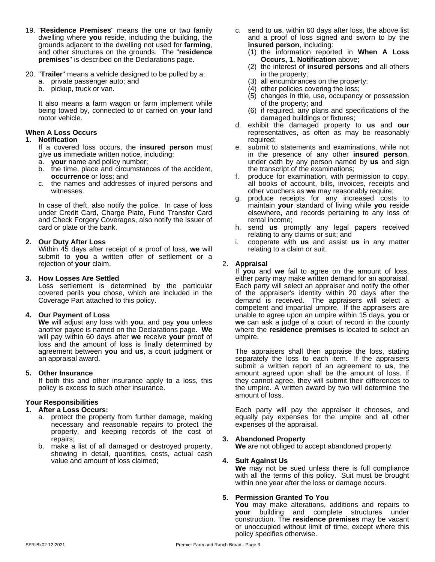- 19. "**Residence Premises**" means the one or two family dwelling where **you** reside, including the building, the grounds adjacent to the dwelling not used for **farming**, and other structures on the grounds. The "**residence premises**" is described on the Declarations page.
- 20. "**Trailer**" means a vehicle designed to be pulled by a:
	- a. private passenger auto; and
	- b. pickup, truck or van.

It also means a farm wagon or farm implement while being towed by, connected to or carried on **your** land motor vehicle.

#### **When A Loss Occurs**

#### **1. Notification**

If a covered loss occurs, the **insured person** must give **us** immediate written notice, including:

- a. **your** name and policy number;
- b. the time, place and circumstances of the accident, **occurrence** or loss; and
- c. the names and addresses of injured persons and witnesses.

In case of theft, also notify the police. In case of loss under Credit Card, Charge Plate, Fund Transfer Card and Check Forgery Coverages, also notify the issuer of card or plate or the bank.

#### **2. Our Duty After Loss**

Within 45 days after receipt of a proof of loss, **we** will submit to **you** a written offer of settlement or a rejection of **your** claim.

#### **3. How Losses Are Settled**

Loss settlement is determined by the particular covered perils **you** chose, which are included in the Coverage Part attached to this policy.

#### **4. Our Payment of Loss**

**We** will adjust any loss with **you**, and pay **you** unless another payee is named on the Declarations page.**We** will pay within 60 days after **we** receive **your** proof of loss and the amount of loss is finally determined by agreement between **you** and **us**, a court judgment or an appraisal award.

#### **5. Other Insurance**

If both this and other insurance apply to a loss, this policy is excess to such other insurance.

#### **Your Responsibilities**

#### **1. After a Loss Occurs:**

- a. protect the property from further damage, making necessary and reasonable repairs to protect the property, and keeping records of the cost of repairs;
- b. make a list of all damaged or destroyed property, showing in detail, quantities, costs, actual cash value and amount of loss claimed;
- c. send to **us**, within 60 days after loss, the above list and a proof of loss signed and sworn to by the **insured person**, including:
	- (1) the information reported in **When A Loss Occurs, 1. Notification** above;
	- (2) the interest of **insured persons** and all others in the property;
	- (3) all encumbrances on the property;
	- (4) other policies covering the loss;
	- (5) changes in title, use, occupancy or possession of the property; and
	- (6) if required, any plans and specifications of the damaged buildings or fixtures;
- d. exhibit the damaged property to **us** and **our** representatives, as often as may be reasonably required;
- e. submit to statements and examinations, while not in the presence of any other **insured person**, under oath by any person named by **us** and sign the transcript of the examinations;
- f. produce for examination, with permission to copy, all books of account, bills, invoices, receipts and other vouchers as **we** may reasonably require;
- g. produce receipts for any increased costs to maintain **your** standard of living while **you** reside elsewhere, and records pertaining to any loss of rental income;
- h. send **us** promptly any legal papers received relating to any claims or suit; and
- i. cooperate with **us** and assist **us** in any matter relating to a claim or suit.

#### 2. **Appraisal**

If **you** and **we** fail to agree on the amount of loss, either party may make written demand for an appraisal. Each party will select an appraiser and notify the other of the appraiser's identity within 20 days after the demand is received. The appraisers will select a competent and impartial umpire. If the appraisers are unable to agree upon an umpire within 15 days, **you** or **we** can ask a judge of a court of record in the county where the **residence premises** is located to select an umpire.

The appraisers shall then appraise the loss, stating separately the loss to each item. If the appraisers submit a written report of an agreement to **us**, the amount agreed upon shall be the amount of loss. If they cannot agree, they will submit their differences to the umpire. A written award by two will determine the amount of loss.

Each party will pay the appraiser it chooses, and equally pay expenses for the umpire and all other expenses of the appraisal.

#### **3. Abandoned Property**

**We** are not obliged to accept abandoned property.

#### **4. Suit Against Us**

**We** may not be sued unless there is full compliance with all the terms of this policy. Suit must be brought within one year after the loss or damage occurs.

#### **5. Permission Granted To You**

**You** may make alterations, additions and repairs to **your** building and complete structures under construction. The **residence premises** may be vacant or unoccupied without limit of time, except where this policy specifies otherwise.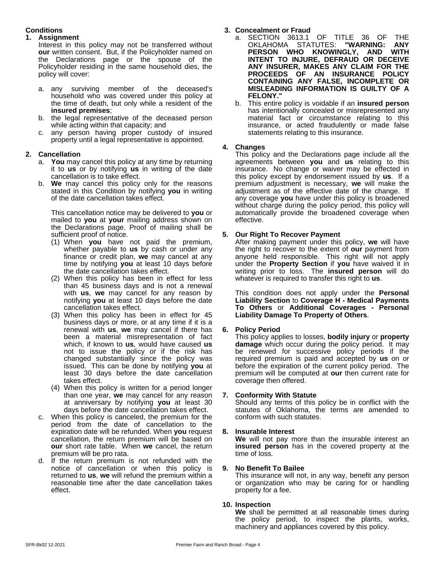#### **Conditions**

#### **1. Assignment**

Interest in this policy may not be transferred without **our** written consent. But, if the Policyholder named on the Declarations page or the spouse of the Policyholder residing in the same household dies, the policy will cover:

- a. any surviving member of the deceased's household who was covered under this policy at the time of death, but only while a resident of the **insured premises**;
- b. the legal representative of the deceased person while acting within that capacity; and
- c. any person having proper custody of insured property until a legal representative is appointed.

#### **2. Cancellation**

- a. **You** may cancel this policy at any time by returning it to **us** or by notifying **us** in writing of the date cancellation is to take effect.
- b. **We** may cancel this policy only for the reasons stated in this Condition by notifying **you** in writing of the date cancellation takes effect.

This cancellation notice may be delivered to **you** or mailed to **you** at **your** mailing address shown on the Declarations page. Proof of mailing shall be sufficient proof of notice.

- (1) When **you** have not paid the premium, whether payable to **us** by cash or under any finance or credit plan, **we** may cancel at any time by notifying **you** at least 10 days before the date cancellation takes effect.
- (2) When this policy has been in effect for less than 45 business days and is not a renewal with **us**, we may cancel for any reason by notifying **you** at least 10 days before the date cancellation takes effect.
- (3) When this policy has been in effect for 45 business days or more, or at any time if it is a renewal with **us**, **we** may cancel if there has been a material misrepresentation of fact which, if known to **us**, would have caused **us** not to issue the policy or if the risk has changed substantially since the policy was issued. This can be done by notifying **you** at least 30 days before the date cancellation takes effect.
- (4) When this policy is written for a period longer than one year, **we** may cancel for any reason at anniversary by notifying **you** at least 30 days before the date cancellation takes effect.
- c. When this policy is canceled, the premium for the period from the date of cancellation to the expiration date will be refunded. When **you** request cancellation, the return premium will be based on **our** short rate table. When **we** cancel, the return premium will be pro rata.
- d. If the return premium is not refunded with the notice of cancellation or when this policy is 9. notice of cancellation or when this policy is returned to **us**, **we** will refund the premium within a reasonable time after the date cancellation takes effect.

### **3. Concealment or Fraud**

- a. SECTION 3613.1 OF TITLE 36 OF THE<br>OKLAHOMA STATUTES: "WARNING: ANY OKLAHOMA STATUTES: **"WARNING: ANY PERSON WHO KNOWINGLY, AND WITH INTENT TO INJURE, DEFRAUD OR DECEIVE ANY INSURER, MAKES ANY CLAIM FOR THE PROCEEDS OF AN INSURANCE POLICY CONTAINING ANY FALSE, INCOMPLETE OR MISLEADING INFORMATION IS GUILTY OF A FELONY."**
- b. This entire policy is voidable if an **insured person** has intentionally concealed or misrepresented any material fact or circumstance relating to this insurance, or acted fraudulently or made false statements relating to this insurance.

#### **4. Changes**

This policy and the Declarations page include all the agreements between **you** and **us** relating to this insurance. No change or waiver may be effected in this policy except by endorsement issued by **us**. If a premium adjustment is necessary, **we** will make the adjustment as of the effective date of the change. If any coverage **you** have under this policy is broadened without charge during the policy period, this policy will automatically provide the broadened coverage when effective.

#### **5. Our Right To Recover Payment**

After making payment under this policy, **we** will have the right to recover to the extent of **our** payment from anyone held responsible. This right will not apply under the **Property Section** if **you** have waived it in writing prior to loss. The **insured person** will do whatever is required to transfer this right to **us**.

This condition does not apply under the **Personal Liability Section** to **Coverage H - Medical Payments To Others** or **Additional Coverages - Personal Liability Damage To Property of Others**.

#### **6. Policy Period**

This policy applies to losses, **bodily injury** or **property damage** which occur during the policy period. It may be renewed for successive policy periods if the required premium is paid and accepted by us on or before the expiration of the current policy period. The premium will be computed at **our** then current rate for coverage then offered.

#### **7. Conformity With Statute**

Should any terms of this policy be in conflict with the statutes of Oklahoma, the terms are amended to conform with such statutes.

#### **8. Insurable Interest**

**We** will not pay more than the insurable interest an **insured person** has in the covered property at the time of loss.

#### **9. No Benefit To Bailee**

This insurance will not, in any way, benefit any person or organization who may be caring for or handling property for a fee.

#### **10. Inspection**

**We** shall be permitted at all reasonable times during the policy period, to inspect the plants, works, machinery and appliances covered by this policy.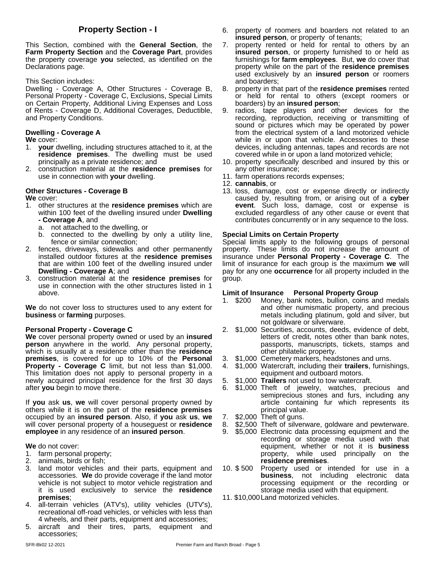This Section, combined with the **General Section**, the **Farm Property Section** and the **Coverage Part**, provides the property coverage **you** selected, as identified on the Declarations page.

This Section includes:

Dwelling - Coverage A, Other Structures - Coverage B, Personal Property - Coverage C, Exclusions, Special Limits on Certain Property, Additional Living Expenses and Loss of Rents - Coverage D, Additional Coverages, Deductible, and Property Conditions.

#### **Dwelling - Coverage A**

**We** cover:

- 1. **your** dwelling, including structures attached to it, at the **residence premises**. The dwelling must be used principally as a private residence; and
- 2. construction material at the **residence premises** for use in connection with **your** dwelling.

#### **Other Structures - Coverage B**

**We** cover:

- 1. other structures at the **residence premises** which are within 100 feet of the dwelling insured under **Dwelling - Coverage A**, and
	- a. not attached to the dwelling, or
	- b. connected to the dwelling by only a utility line, fence or similar connection;
- 2. fences, driveways, sidewalks and other permanently installed outdoor fixtures at the **residence premises** that are within 100 feet of the dwelling insured under **Dwelling - Coverage A**; and
- 3. construction material at the **residence premises** for use in connection with the other structures listed in 1 above.

**We** do not cover loss to structures used to any extent for **business** or **farming** purposes.

#### **Personal Property - Coverage C**

**We** cover personal property owned or used by an **insured person** anywhere in the world. Any personal property, which is usually at a residence other than the **residence premises**, is covered for up to 10% of the **Personal Property - Coverage C** limit, but not less than \$1,000. This limitation does not apply to personal property in a newly acquired principal residence for the first 30 days after **you** begin to move there.

If **you** ask **us**, **we** will cover personal property owned by others while it is on the part of the **residence premises** occupied by an **insured person**. Also, if **you** ask **us**, **we** will cover personal property of a houseguest or **residence employee** in any residence of an **insured person**.

#### **We** do not cover:

- 1. farm personal property;
- 2. animals, birds or fish;
- 3. land motor vehicles and their parts, equipment and accessories. **We** do provide coverage if the land motor vehicle is not subject to motor vehicle registration and it is used exclusively to service the **residence premises**;
- 4. all-terrain vehicles (ATV's), utility vehicles (UTV's), recreational off-road vehicles, or vehicles with less than 4 wheels, and their parts, equipment and accessories;
- 5. aircraft and their tires, parts, equipment and accessories;
- **Property Section I** 6. property of roomers and boarders not related to an **insured person**, or property of tenants;
	- property rented or held for rental to others by an **insured person**, or property furnished to or held as furnishings for **farm employees**. But, **we** do cover that property while on the part of the **residence premises** used exclusively by an **insured person** or roomers and boarders;
	- 8. property in that part of the **residence premises** rented or held for rental to others (except roomers or boarders) by an **insured person**;
	- 9. radios, tape players and other devices for the recording, reproduction, receiving or transmitting of sound or pictures which may be operated by power from the electrical system of a land motorized vehicle while in or upon that vehicle. Accessories to these devices, including antennas, tapes and records are not covered while in or upon a land motorized vehicle;
	- 10. property specifically described and insured by this or any other insurance;
	- 11. farm operations records expenses;
	- 12. **cannabis**, or
	- 13. loss, damage, cost or expense directly or indirectly caused by, resulting from, or arising out of a **cyber event**. Such loss, damage, cost or expense is excluded regardless of any other cause or event that contributes concurrently or in any sequence to the loss.

#### **Special Limits on Certain Property**

Special limits apply to the following groups of personal property. These limits do not increase the amount of insurance under **Personal Property - Coverage C**. The limit of insurance for each group is the maximum **we** will pay for any one **occurrence** for all property included in the group.

#### **Limit of Insurance Personal Property Group**

- 1. \$200 Money, bank notes, bullion, coins and medals and other numismatic property, and precious metals including platinum, gold and silver, but not goldware or silverware.
- 2. \$1,000 Securities, accounts, deeds, evidence of debt, letters of credit, notes other than bank notes, passports, manuscripts, tickets, stamps and other philatelic property.
- 3. \$1,000 Cemetery markers, headstones and urns.
- 4. \$1,000 Watercraft, including their **trailers**, furnishings, equipment and outboard motors.
- 5. \$1,000 **Trailers** not used to tow watercraft.
- 6. \$1,000 Theft of jewelry, watches, precious and semiprecious stones and furs, including any article containing fur which represents its principal value.
- 7. \$2,000 Theft of guns.
- 8. \$2,500 Theft of silverware, goldware and pewterware.
- 9. \$5,000 Electronic data processing equipment and the recording or storage media used with that equipment, whether or not it is **business** property, while used principally on the **residence premises**.
- Property used or intended for use in a **business**, not including electronic data processing equipment or the recording or storage media used with that equipment.
- 11. \$10,000Land motorized vehicles.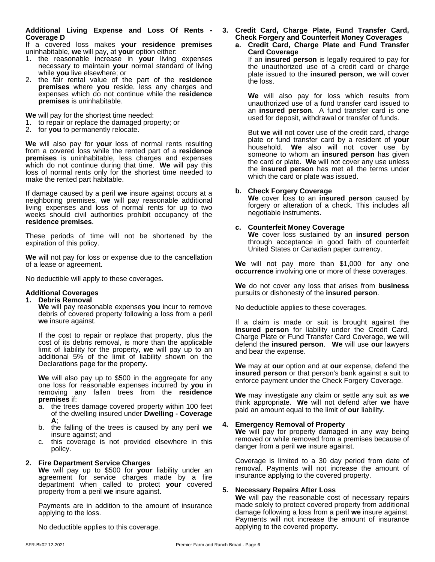#### **Additional Living Expense and Loss Of Rents - Coverage D**

If a covered loss makes **your residence premises** uninhabitable, **we** will pay, at **your** option either:

- 1. the reasonable increase in **your** living expenses necessary to maintain **your** normal standard of living while **you** live elsewhere; or
- 2. the fair rental value of the part of the **residence premises** where **you** reside, less any charges and expenses which do not continue while the **residence premises** is uninhabitable.

**We** will pay for the shortest time needed:

- 1. to repair or replace the damaged property; or
- 2. for **you** to permanently relocate.

**We** will also pay for **your** loss of normal rents resulting from a covered loss while the rented part of a **residence premises** is uninhabitable, less charges and expenses which do not continue during that time. **We** will pay this loss of normal rents only for the shortest time needed to make the rented part habitable.

If damage caused by a peril we insure against occurs at a neighboring premises, **we** will pay reasonable additional living expenses and loss of normal rents for up to two weeks should civil authorities prohibit occupancy of the **residence premises**.

These periods of time will not be shortened by the expiration of this policy.

**We** will not pay for loss or expense due to the cancellation of a lease or agreement.

No deductible will apply to these coverages.

#### **Additional Coverages**

#### **1. Debris Removal**

**We** will pay reasonable expenses **you** incur to remove debris of covered property following a loss from a peril **we** insure against.

If the cost to repair or replace that property, plus the cost of its debris removal, is more than the applicable limit of liability for the property, **we** will pay up to an additional 5% of the limit of liability shown on the Declarations page for the property.

**We** will also pay up to \$500 in the aggregate for any one loss for reasonable expenses incurred by **you** in removing any fallen trees from the **residence premises** if:

- a. the trees damage covered property within 100 feet of the dwelling insured under**Dwelling - Coverage A**;
- b. the falling of the trees is caused by any peril **we** insure against; and
- c. this coverage is not provided elsewhere in this policy.

#### **2. Fire Department Service Charges**

**We** will pay up to \$500 for **your** liability under an agreement for service charges made by a fire department when called to protect **your** covered property from a peril **we** insure against.

Payments are in addition to the amount of insurance applying to the loss.

No deductible applies to this coverage.

#### **3.Credit Card, Charge Plate, Fund Transfer Card, Check Forgery and Counterfeit Money Coverages a. Credit Card, Charge Plate and Fund Transfer**

**Card Coverage** If an **insured person** is legally required to pay for the unauthorized use of a credit card or charge plate issued to the **insured person**, **we** will cover the loss.

**We** will also pay for loss which results from unauthorized use of a fund transfer card issued to an **insured person**. A fund transfer card is one used for deposit, withdrawal or transfer of funds.

But **we** will not cover use of the credit card, charge plate or fund transfer card by a resident of **your** household. **We** also will not cover use by someone to whom an **insured person** has given the card or plate. **We** will not cover any use unless the **insured person** has met all the terms under which the card or plate was issued.

#### **b. Check Forgery Coverage**

**We** coverloss to an **insured person** caused by forgery or alteration of a check. This includes all negotiable instruments.

#### **c. Counterfeit Money Coverage**

**We** coverloss sustained by an **insured person** through acceptance in good faith of counterfeit United States or Canadian paper currency.

**We** will not pay more than \$1,000 for any one **occurrence** involving one or more of these coverages.

**We** do not cover any loss that arises from **business** pursuits or dishonesty of the **insured person**.

No deductible applies to these coverages.

If a claim is made or suit is brought against the **insured person** for liability under the Credit Card, Charge Plate or Fund Transfer Card Coverage, **we** will defend the **insured person**. **We** will use **our** lawyers and bear the expense.

**We** may at **our** option and at **our** expense, defend the **insured person** or that person's bank against a suit to enforce payment under the Check Forgery Coverage.

**We** may investigate any claim or settle any suit as **we** think appropriate. **We** will not defend after **we** have paid an amount equal to the limit of **our** liability.

#### **4. Emergency Removal of Property**

**We** will pay for property damaged in any way being removed or while removed from a premises because of danger from a peril **we** insure against.

Coverage is limited to a 30 day period from date of removal. Payments will not increase the amount of insurance applying to the covered property.

#### **5. Necessary Repairs After Loss**

**We** will pay the reasonable cost of necessary repairs made solely to protect covered property from additional damage following a loss from a peril **we** insure against. Payments will not increase the amount of insurance applying to the covered property.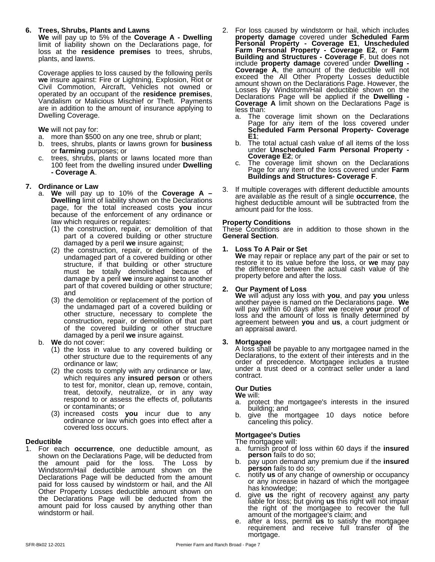#### **6. Trees, Shrubs, Plants and Lawns**

**We** will pay up to 5% of the **Coverage A - Dwelling** limit of liability shown on the Declarations page, for  $P^{\epsilon}$ loss at the **residence premises** to trees, shrubs, plants, and lawns.

Coverage applies to loss caused by the following perils **we** insure against: Fire or Lightning, Explosion, Riot or Civil Commotion, Aircraft, Vehicles not owned or allow operated by an occupant of the **residence premises**, Vandalism or Malicious Mischief or Theft. Payments are in addition to the amount of insurance applying to Dwelling Coverage.

#### **We** will not pay for:

- a. more than \$500 on any one tree, shrub or plant;
- b. trees, shrubs, plants or lawns grown for **business** or **farming** purposes; or
- c. trees, shrubs, plants or lawns located more than<br>100 feet from the dwelling insured under **Dwelling** 100 feet from the dwelling insured under**Dwelling - Coverage A**.

#### **7. Ordinance or Law**

- a. **We** will pay up to 10% of the **Coverage A – Dwelling** limit of liability shown on the Declarations page, for the total increased costs **you** incur because of the enforcement of any ordinance or law which requires or regulates:
	- (1) the construction, repair, or demolition of that part of a covered building or other structure damaged by a peril **we** insure against;
	- $(2)$  the construction, repair, or demolition of the  $1$ . undamaged part of a covered building or other structure, if that building or other structure must be totally demolished because of damage by a peril we insure against to another part of that covered building or other structure; and
	- (3) the demolition or replacement of the portion of the undamaged part of a covered building or other structure, necessary to complete the construction, repair, or demolition of that part of the covered building or other structure damaged by a peril **we** insure against.

#### b. **We** do not cover:

- (1) the loss in value to any covered building or other structure due to the requirements of any ordinance or law;
- (2) the costs to comply with any ordinance or law, which requires any **insured person** or others to test for, monitor, clean up, remove, contain, treat, detoxify, neutralize, or in any way respond to or assess the effects of, pollutants or contaminants; or
- (3) increased costs **you** incur due to any ordinance or law which goes into effect after a covered loss occurs.

#### **Deductible**

1. For each **occurrence**, one deductible amount, as shown on the Declarations Page, will be deducted from the amount paid for the loss. The Loss by Windstorm/Hail deductible amount shown on the Declarations Page will be deducted from the amount paid for loss caused by windstorm or hail, and the All by the lot any increase<br>Other Property Losses deductible amount shown on Other Property Losses deductible amount shown on the Declarations Page will be deducted from the amount paid for loss caused by anything other than windstorm or hail.

- 2. For loss caused by windstorm or hail, which includes **property damage** covered under **Scheduled Farm Personal Property - Coverage E1**, **Unscheduled Farm Personal Property - Coverage E2**, or **Farm Building and Structures - Coverage F**, but does not include **property damage** covered under **Dwelling - Coverage A**, the amount of the deductible will not exceed the All Other Property Losses deductible amount shown on the Declarations Page. However, the Losses By Windstorm/Hail deductible shown on the Declarations Page will be applied if the **Dwelling - Coverage A** limit shown on the Declarations Page is less than:
	- a. The coverage limit shown on the Declarations Page for any item of the loss covered under **Scheduled Farm Personal Property- Coverage E1**;
	- b. The total actual cash value of all items of the loss under **Unscheduled Farm Personal Property - Coverage E2**; or
	- The coverage limit shown on the Declarations Page for any item of the loss covered under Farm **Buildings and Structures- Coverage F**.
- If multiple coverages with different deductible amounts are available as the result of a single **occurrence**, the highest deductible amount will be subtracted from the amount paid for the loss.

#### **Property Conditions**

These Conditions are in addition to those shown in the **General Section**.

#### **1. Loss To A Pair or Set**

**We** may repair or replace any part of the pair or set to restore it to its value before the loss, or **we** may pay the difference between the actual cash value of the property before and after the loss.

#### **2. Our Payment of Loss**

**We** will adjust any loss with **you**, and pay **you** unless another payee is named on the Declarations page.**We** will pay within 60 days after **we** receive **your** proof of loss and the amount of loss is finally determined by agreement between **you** and **us**, a court judgment or an appraisalaward.

**3. Mortgagee**<br>A loss shall be payable to any mortgagee named in the Declarations, to the extent of their interests and in the order of precedence. Mortgagee includes a trustee under a trust deed or a contract seller under a land contract.

#### **Our Duties**

- **We** will: protect the mortgagee's interests in the insured building; and
- b. give the mortgagee 10 days notice before canceling this policy.

#### **Mortgagee's Duties**

The mortgagee will:

- a. furnish proof of loss within 60 days if the **insured person** fails to do so;
- b. pay upon demand any premium due if the **insured person** fails to do so;
- c. notify **us** of any change of ownership or occupancy or any increase in hazard of which the mortgagee
- d. give us the right of recovery against any party liable for loss; but giving **us** this right will not impair the right of the mortgagee to recover the full amount of the mortgagee's claim; and
- e. after a loss, permit **us** to satisfy the mortgagee requirement and receive full transfer of the mortgage.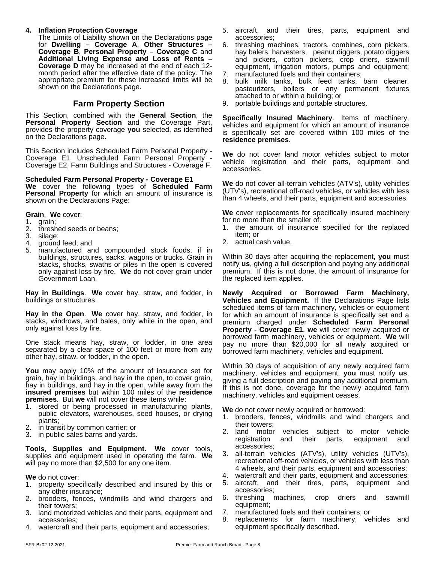#### **4. Inflation Protection Coverage**

The Limits of Liability shown on the Declarations page for **Dwelling – Coverage A**, **Other Structures – Coverage B**, **Personal Property – Coverage C** and **Additional Living Expense and Loss of Rents – Coverage D** may be increased at the end of each 12 month period after the effective date of the policy. The appropriate premium for these increased limits will be shown on the Declarations page.

#### **Farm Property Section**

This Section, combined with the **General Section**, the **Personal Property Section** and the Coverage Part, provides the property coverage **you** selected, as identified on the Declarations page.

This Section includes Scheduled Farm Personal Property - Coverage E1, Unscheduled Farm Personal Property - Coverage E2, Farm Buildings and Structures - Coverage F.

**Scheduled Farm Personal Property - Coverage E1 We** cover the following types of **Scheduled Farm Personal Property** for which an amount of insurance is shown on the Declarations Page:

**Grain**. **We** cover:

- 1. grain;<br>2. thresh
- 2. threshed seeds or beans;<br>3. silage:
- silage;
- 4. ground feed; and
- 5. manufactured and compounded stock foods, if in buildings, structures, sacks, wagons or trucks. Grain in stacks, shocks, swaths or piles in the open is covered only against loss by fire. **We** do not cover grain under Government Loan.

**Hay in Buildings. We** cover hay, straw, and fodder, in buildings or structures.

Hay in the Open. We cover hay, straw, and fodder, in stacks, windrows, and bales, only while in the open, and only against loss by fire.

One stack means hay, straw, or fodder, in one area separated by a clear space of 100 feet or more from any other hay, straw, or fodder, in the open.

**You** may apply 10% of the amount of insurance set for grain, hay in buildings, and hay in the open, to cover grain, hay in buildings, and hay in the open, while away from the **insured premises** but within 100 miles of the **residence premises**. But **we** will not cover these items while:

- 1. stored or being processed in manufacturing plants, public elevators, warehouses, seed houses, or drying plants;
- 2. in transit by common carrier; or
- 3. in public sales barns and yards.

**Tools, Supplies and Equipment. We** cover tools, supplies and equipment used in operating the farm. **We** will pay no more than \$2,500 for any one item.

**We** do not cover:

- 1. property specifically described and insured by this or any other insurance;
- 2. brooders, fences, windmills and wind chargers and their towers;
- 3. land motorized vehicles and their parts, equipment and accessories;
- watercraft and their parts, equipment and accessories;
- 5. aircraft, and their tires, parts, equipment and accessories;
- 6. threshing machines, tractors, combines, corn pickers, hay balers, harvesters, peanut diggers, potato diggers and pickers, cotton pickers, crop driers, sawmill equipment, irrigation motors, pumps and equipment;
- 7. manufactured fuels and their containers;
- 8. bulk milk tanks, bulk feed tanks, barn cleaner, pasteurizers, boilers or any permanent fixtures attached to or within a building; or
- 9. portable buildings and portable structures.

**Specifically Insured Machinery**. Items of machinery, vehicles and equipment for which an amount of insurance is specifically set are covered within 100 miles of the **residence premises**.

**We** do not cover land motor vehicles subject to motor vehicle registration and their parts, equipment and accessories.

**We** do not cover all-terrain vehicles (ATV's), utility vehicles (UTV's), recreational off-road vehicles, or vehicles with less than 4 wheels, and their parts, equipment and accessories.

**We** cover replacements for specifically insured machinery for no more than the smaller of:

- 1. the amount of insurance specified for the replaced item; or
- 2. actual cash value.

Within 30 days after acquiring the replacement, **you** must notify **us**, giving a full description and paying any additional premium. If this is not done, the amount of insurance for the replaced item applies.

**Newly Acquired or Borrowed Farm Machinery, Vehicles and Equipment.** If the Declarations Page lists scheduled items of farm machinery, vehicles or equipment for which an amount of insurance is specifically set and a premium charged under **Scheduled Farm Personal Property - Coverage E1**, **we** will cover newly acquired or borrowed farm machinery, vehicles or equipment. **We** will pay no more than \$20,000 for all newly acquired or borrowed farm machinery, vehicles and equipment.

Within 30 days of acquisition of any newly acquired farm machinery, vehicles and equipment, **you** must notify **us**, giving a full description and paying any additional premium. If this is not done, coverage for the newly acquired farm machinery, vehicles and equipment ceases.

**We** do not cover newly acquired or borrowed:

- 1. brooders, fences, windmills and wind chargers and their towers;
- 2. land motor vehicles subject to motor vehicle registration and their parts, equipment and accessories;
- 3. all-terrain vehicles (ATV's), utility vehicles (UTV's), recreational off-road vehicles, or vehicles with less than 4 wheels, and their parts, equipment and accessories;
- 4. watercraft and their parts, equipment and accessories;
- 5. aircraft, and their tires, parts, equipment and accessories;
- machines, crop driers and sawmill equipment;
- 7. manufactured fuels and their containers; or
- 8. replacements for farm machinery, vehicles and equipment specifically described.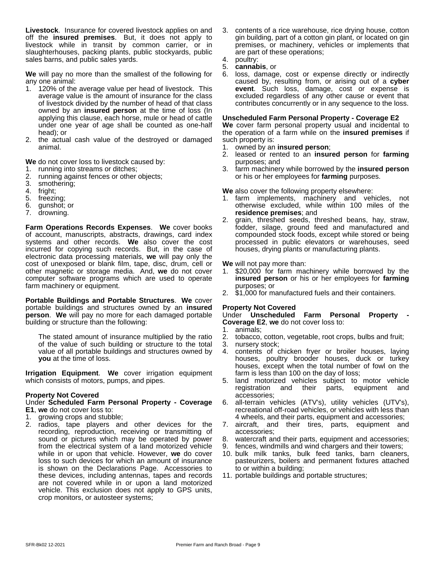**Livestock**. Insurance for covered livestock applies on and off the **insured premises**. But, it does not apply to livestock while in transit by common carrier, or in slaughterhouses, packing plants, public stockyards, public sales barns, and public sales yards.

**We** will pay no more than the smallest of the following for any one animal:

- 1. 120% of the average value per head of livestock. This average value is the amount of insurance for the class of livestock divided by the number of head of that class owned by an **insured person** at the time of loss (In applying this clause, each horse, mule or head of cattle under one year of age shall be counted as one-half head); or
- 2. the actual cash value of the destroyed or damaged animal.

**We** do not cover loss to livestock caused by:

- 1. running into streams or ditches;
- 2. running against fences or other objects;
- 3. smothering;<br>4. fright:
- fright;
- 5. freezing;
- 6. gunshot; or
- 7. drowning.

**Farm Operations Records Expenses. We cover books <b>Farm** of account, manuscripts, abstracts, drawings, card index systems and other records. **We** also cover the cost incurred for copying such records. But, in the case of electronic data processing materials, **we** will pay only the cost of unexposed or blank film, tape, disc, drum, cell or other magnetic or storage media. And, **we** do not cover computer software programs which are used to operate farm machinery or equipment.

**Portable Buildings and Portable Structures**. **We** cover portable buildings and structures owned by an **insured person**. **We** will pay no more for each damaged portable building or structure than the following:

The stated amount of insurance multiplied by the ratio of the value of such building or structure to the total value of all portable buildings and structures owned by **you** at the time of loss.

**Irrigation Equipment**. **We** cover irrigation equipment which consists of motors, pumps, and pipes.

#### **Property Not Covered**

#### Under **Scheduled Farm Personal Property - Coverage E1**, **we** do not cover loss to:

- 1. growing crops and stubble;
- 2. radios, tape players and other devices for the recording, reproduction, receiving or transmitting of sound or pictures which may be operated by power from the electrical system of a land motorized vehicle while in or upon that vehicle. However, **we** do cover loss to such devices for which an amount of insurance is shown on the Declarations Page. Accessories to these devices, including antennas, tapes and records are not covered while in or upon a land motorized vehicle. This exclusion does not apply to GPS units, crop monitors, or autosteer systems;
- 3. contents of a rice warehouse, rice drying house, cotton gin building, part of a cotton gin plant, or located on gin premises, or machinery, vehicles or implements that are part of these operations;
- 4. poultry:
- 5. **cannabis**, or
- 6. loss, damage, cost or expense directly or indirectly caused by, resulting from, or arising out of a **cyber event**. Such loss, damage, cost or expense is excluded regardless of any other cause or event that contributes concurrently or in any sequence to the loss.

#### **Unscheduled Farm Personal Property - Coverage E2**

We cover farm personal property usual and incidental to the operation of a farm while on the **insured premises** if such property is:

- 1. owned by an **insured person**;
- 2. leased or rented to an **insured person** for **farming** purposes; and
- 3. farm machinery while borrowed by the **insured person** or his or her employees for **farming** purposes.

**We** also cover the following property elsewhere:

- 1. farm implements, machinery and vehicles, not otherwise excluded, while within 100 miles of the **residence premises**; and
- 2. grain, threshed seeds, threshed beans, hay, straw, fodder, silage, ground feed and manufactured and compounded stock foods, except while stored or being processed in public elevators or warehouses, seed houses, drying plants or manufacturing plants.

**We** will not pay more than:

- 1. \$20,000 for farm machinery while borrowed by the **insured person** or his or her employees for **farming** purposes; or
- 2. \$1,000 for manufactured fuels and their containers.

#### **Property Not Covered**

Under **Unscheduled Farm Personal Property - Coverage E2**, **we** do not cover loss to:

- 1. animals;
- 2. tobacco, cotton, vegetable, root crops, bulbs and fruit;
- 3. nursery stock;
- 4. contents of chicken fryer or broiler houses, laying houses, poultry brooder houses, duck or turkey houses, except when the total number of fowl on the farm is less than 100 on the day of loss;
- 5. land motorized vehicles subject to motor vehicle and their parts, equipment and accessories;
- 6. all-terrain vehicles (ATV's), utility vehicles (UTV's), recreational off-road vehicles, or vehicles with less than 4 wheels, and their parts, equipment and accessories;
- 7. aircraft, and their tires, parts, equipment and accessories;
- 8. watercraft and their parts, equipment and accessories;
- 9. fences, windmills and wind chargers and their towers;
- 10. bulk milk tanks, bulk feed tanks, barn cleaners, pasteurizers, boilers and permanent fixtures attached to or within a building;
- 11. portable buildings and portable structures;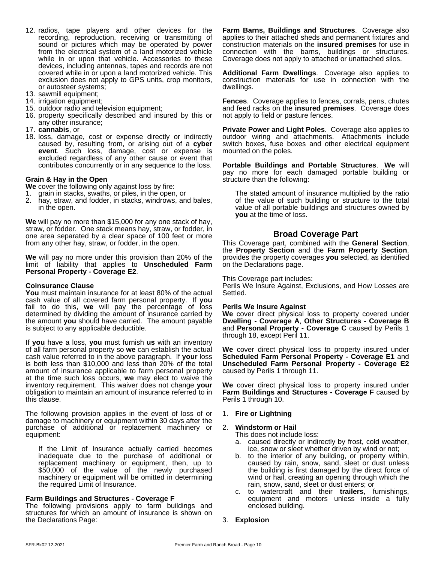- 12. radios, tape players and other devices for the recording, reproduction, receiving or transmitting of sound or pictures which may be operated by power from the electrical system of a land motorized vehicle while in or upon that vehicle. Accessories to these devices, including antennas, tapes and records are not covered while in or upon a land motorized vehicle. This exclusion does not apply to GPS units, crop monitors, or autosteer systems;
- 13. sawmill equipment;
- 14. irrigation equipment;
- 15. outdoor radio and television equipment;
- 16. property specifically described and insured by this or any other insurance;
- 17. **cannabis**, or
- 18. loss, damage, cost or expense directly or indirectly caused by, resulting from, or arising out of a **cyber event**. Such loss, damage, cost or expense is excluded regardless of any other cause or event that contributes concurrently or in any sequence to the loss.

#### **Grain & Hayin the Open**

**We** cover the following only against loss by fire:

- 1. grain in stacks, swaths, or piles, in the open, or
- 2. hay, straw, and fodder, in stacks, windrows, and bales, in the open.

**We** will pay no more than \$15,000 for any one stack of hay, straw, or fodder. One stack means hay, straw, or fodder, in one area separated by a clear space of 100 feet or more from any other hay, straw, or fodder, in the open.

**We** will pay no more under this provision than 20% of the limit of liability that applies to **Unscheduled Farm Personal Property - Coverage E2**.

#### **Coinsurance Clause**

**You** must maintain insurance for at least 80% of the actual cash value of all covered farm personal property. If **you** fail to do this, **we** will pay the percentage of loss determined by dividing the amount of insurance carried by the amount **you** should have carried. The amount payable is subject to any applicable deductible.

If **you** have a loss, **you** must furnish **us** with an inventory of all farm personal property so **we** can establish the actual cash value referred to in the above paragraph. If **your** loss is both less than \$10,000 and less than 20% of the total amount of insurance applicable to farm personal property at the time such loss occurs, **we** may elect to waive the inventory requirement. This waiver does not change **your** obligation to maintain an amount of insurance referred to in this clause.

The following provision applies in the event of loss of or damage to machinery or equipment within 30 days after the purchase of additional or replacement machinery or equipment:

If the Limit of Insurance actually carried becomes inadequate due to the purchase of additional or replacement machinery or equipment, then, up to \$50,000 of the value of the newly purchased machinery or equipment will be omitted in determining the required Limit of Insurance.

#### **Farm Buildings and Structures - Coverage F**

The following provisions apply to farm buildings and structures for which an amount of insurance is shown on the Declarations Page:

**Farm Barns, Buildings and Structures**. Coverage also applies to their attached sheds and permanent fixtures and construction materials on the **insured premises** for use in connection with the barns, buildings or structures. Coverage does not apply to attached or unattached silos.

**Additional Farm Dwellings**. Coverage also applies to construction materials for use in connection with the dwellings.

Fences. Coverage applies to fences, corrals, pens, chutes and feed racks on the **insured premises**. Coverage does not apply to field or pasture fences.

**Private Power and Light Poles**. Coverage also applies to outdoor wiring and attachments. Attachments include switch boxes, fuse boxes and other electrical equipment mounted on the poles.

**Portable Buildings and Portable Structures**. **We** will pay no more for each damaged portable building or structure than the following:

The stated amount of insurance multiplied by the ratio of the value of such building or structure to the total value of all portable buildings and structures owned by **you** at the time of loss.

#### **Broad Coverage Part**

This Coverage part, combined with the **General Section**, the **Property Section** and the **Farm Property Section**, provides the property coverages **you** selected,as identified on the Declarations page.

This Coverage part includes:

Perils We Insure Against, Exclusions, and How Losses are Settled.

#### **Perils We Insure Against**

**We** cover direct physical loss to property covered under **Dwelling - Coverage A**, **Other Structures - Coverage B** and **Personal Property - Coverage C** caused by Perils 1 through 18, except Peril 11.

**We** cover direct physical loss to property insured under **Scheduled Farm Personal Property - Coverage E1** and **Unscheduled Farm Personal Property - Coverage E2** caused by Perils 1 through 11.

**We** cover direct physical loss to property insured under **Farm Buildings and Structures - Coverage F** caused by Perils 1 through 10.

#### 1. **Fire or Lightning**

#### 2. **Windstorm or Hail**

This does not include loss:

- a. caused directly or indirectly by frost, cold weather, ice, snow or sleet whether driven by wind or not;
- b. to the interior of any building, or property within, caused by rain, snow, sand, sleet or dust unless the building is first damaged by the direct force of wind or hail, creating an opening through which the rain, snow, sand, sleet or dust enters; or
- c. to watercraft and their **trailers**, furnishings, equipment and motors unless inside a fully enclosed building.
- 3. **Explosion**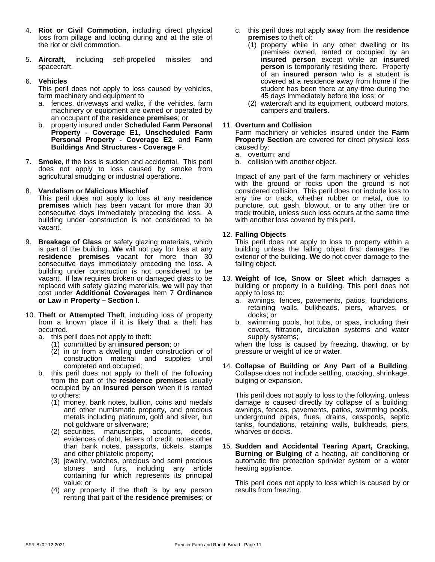- 4. **Riot or Civil Commotion**, including direct physical loss from pillage and looting during and at the site of the riot or civil commotion.
- 5. **Aircraft**, including self-propelled missiles and spacecraft.

#### 6. **Vehicles**

This peril does not apply to loss caused by vehicles, farm machinery and equipment to

- a. fences, driveways and walks, if the vehicles, farm machinery or equipment are owned or operated by an occupant of the **residence premises**; or
- b. property insured under **Scheduled Farm Personal Property - Coverage E1**, **Unscheduled Farm Personal Property - Coverage E2**, and **Farm Buildings And Structures - Coverage F**.
- 7. **Smoke**, if the loss is sudden and accidental. This peril does not apply to loss caused by smoke from agricultural smudging or industrial operations.

#### 8. **Vandalism or Malicious Mischief**

This peril does not apply to loss at any **residence premises** which has been vacant for more than 30 consecutive days immediately preceding the loss. A building under construction is not considered to be vacant.

- 9. **Breakage of Glass** or safety glazing materials, which is part of the building. We will not pay for loss at any **residence premises** vacant for more than 30 consecutive days immediately preceding the loss. A building under construction is not considered to be vacant. If law requires broken or damaged glass to be replaced with safety glazing materials, **we** will pay that cost under **Additional Coverages** Item 7 **Ordinance or Law** in **Property – Section I**.
- 10. **Theft or Attempted Theft**, including loss of property from a known place if it is likely that a theft has occurred.
	- a. this peril does not apply to theft:
		- (1) committed by an **insured person**; or
		- (2) in or from a dwelling under construction or of construction material and supplies until completed and occupied;
	- b. this peril does not apply to theft of the following from the part of the **residence premises** usually occupied by an **insured person** when it is rented to others:
		- (1) money, bank notes, bullion, coins and medals and other numismatic property, and precious metals including platinum, gold and silver, but not goldware or silverware;
		- (2) securities, manuscripts, accounts, deeds, evidences of debt, letters of credit, notes other than bank notes, passports, tickets, stamps and other philatelic property;
		- (3) jewelry, watches, precious and semi precious stones and furs, including any article containing fur which represents its principal value; or
		- (4) any property if the theft is by any person renting that part of the **residence premises**; or
- c. this peril does not apply away from the **residence premises** to theft of:
	- (1) property while in any other dwelling or its premises owned, rented or occupied by an **insured person** except while an **insured person** is temporarily residing there. Property of an **insured person** who is a student is covered at a residence away from home if the student has been there at any time during the 45 days immediately before the loss; or
	- (2) watercraft and its equipment, outboard motors, campers and **trailers**.

#### 11. **Overturn and Collision**

Farm machinery or vehicles insured under the **Farm Property Section** are covered for direct physical loss caused by:

- a. overturn; and
- b. collision with another object.

Impact of any part of the farm machinery or vehicles with the ground or rocks upon the ground is not considered collision. This peril does not include loss to any tire or track, whether rubber or metal, due to puncture, cut, gash, blowout, or to any other tire or track trouble, unless such loss occurs at the same time with another loss covered by this peril.

#### 12. **Falling Objects**

This peril does not apply to loss to property within a building unless the falling object first damages the exterior of the building. **We** do not cover damage to the falling object.

- 13. **Weight of Ice, Snow or Sleet** which damages a building or property in a building. This peril does not apply to loss to:
	- a. awnings, fences, pavements, patios, foundations, retaining walls, bulkheads, piers, wharves, or docks; or
	- b. swimming pools, hot tubs, or spas, including their covers, filtration, circulation systems and water supply systems;

when the loss is caused by freezing, thawing, or by pressure or weight of ice or water.

14. **Collapse of Building or Any Part of a Building**. Collapse does not include settling, cracking, shrinkage, bulging or expansion.

This peril does not apply to loss to the following, unless damage is caused directly by collapse of a building: awnings, fences, pavements, patios, swimming pools, underground pipes, flues, drains, cesspools, septic tanks, foundations, retaining walls, bulkheads, piers, wharves or docks.

15. **Sudden and Accidental Tearing Apart, Cracking, Burning or Bulging** of a heating, air conditioning or automatic fire protection sprinkler system or a water heating appliance.

This peril does not apply to loss which is caused by or results from freezing.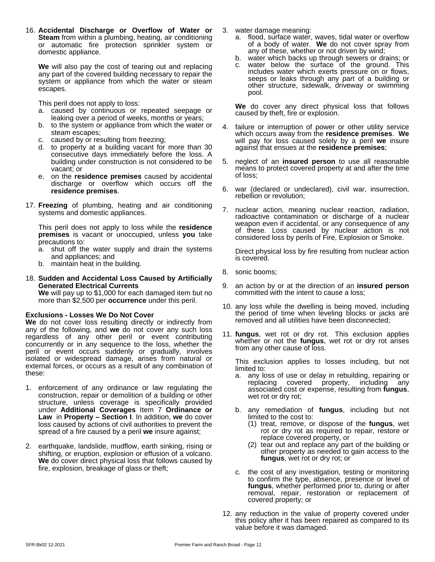16. **Accidental Discharge or Overflow of Water or Steam** from within a plumbing, heating, air conditioning or automatic fire protection sprinkler system or domestic appliance.

We will also pay the cost of tearing out and replacing any part of the covered building necessary to repair the system or appliance from which the water or steam escapes.

This peril does not apply to loss:

- a. caused by continuous or repeated seepage or leaking over a period of weeks, months or years;
- b. to the system or appliance from which the water or steam escapes;
- c. caused by or resulting from freezing;
- d. to property at a building vacant for more than 30 consecutive days immediately before the loss. A building under construction is not considered to be vacant; or
- e. on the **residence premises** caused by accidental discharge or overflow which occurs off the **residence premises**.
- 17. **Freezing** of plumbing, heating and air conditioning systems and domestic appliances.

This peril does not apply to loss while the **residence premises** is vacant or unoccupied, unless **you** take precautions to:

- a. shut off the water supply and drain the systems and appliances; and
- b. maintain heat in the building.
- 18. **Sudden and Accidental Loss Caused by Artificially Generated Electrical Currents We** will pay up to \$1,000 for each damaged item but no more than \$2,500 per **occurrence** under this peril.

#### **Exclusions - Losses We Do Not Cover**

**We** do not cover loss resulting directly or indirectly from any of the following, and **we** do not cover any such loss regardless of any other peril or event contributing concurrently or in any sequence to the loss, whether the peril or event occurs suddenly or gradually, involves isolated or widespread damage, arises from natural or external forces, or occurs as a result of any combination of these:

- 1. enforcement of any ordinance or law regulating the construction, repair or demolition of a building or other structure, unless coverage is specifically provided under **Additional Coverages** Item 7 **Ordinance or Law** in **Property – Section I**. In addition, **we** do cover loss caused by actions of civil authorities to prevent the spread of a fire caused by a peril **we** insure against;
- 2. earthquake, landslide, mudflow, earth sinking, rising or shifting, or eruption, explosion or effusion of a volcano. **We** do cover direct physical loss that follows caused by fire, explosion, breakage of glass or theft;
- 3. water damage meaning:
	- a. flood, surface water, waves, tidal water or overflow of a body of water. **We** do not cover spray from any of these, whether or not driven by wind;
	- b. water which backs up through sewers or drains; or
	- c. water below the surface of the ground. This includes water which exerts pressure on or flows, seeps or leaks through any part of a building or other structure, sidewalk, driveway or swimming pool.

**We** do cover any direct physical loss that follows caused by theft, fire or explosion.

- 4. failure or interruption of power or other utility service which occurs away from the **residence premises**. **We** will pay for loss caused solely by a peril**we** insure against that ensues at the **residence premises**;
- 5. neglect of an **insured person** to use allreasonable means to protect covered property at and after the time of loss;
- 6. war (declared or undeclared), civil war, insurrection, rebellion or revolution;
- 7. nuclear action, meaning nuclear reaction, radiation, radioactive contamination or discharge of a nuclear weapon even if accidental, or any consequence of any of these. Loss caused by nuclear action is not considered loss by perils of Fire, Explosion or Smoke.

Direct physical loss by fire resulting from nuclear action is covered.

- 8. sonic booms;
- 9. an action by or at the direction of an **insured person** committed with the intent to cause a loss;
- 10. any loss while the dwelling is being moved, including the period of time when leveling blocks or jacks are removed and all utilities have been disconnected;
- 11. **fungus**, wet rot or dry rot. This exclusion applies whether or not the **fungus**, wet rot or dry rot arises from any other cause of loss.

This exclusion applies to losses including, but not limited to:

- a. any loss of use or delay in rebuilding, repairing or replacing covered property, including any replacing covered property, associated cost or expense, resulting from **fungus**, wet rot or dry rot;
- b. any remediation of **fungus**, including but not limited to the cost to:
	- (1) treat, remove, or dispose of the **fungus**, wet rot or dry rot as required to repair, restore or replace covered property, or
	- (2) tear out and replace any part of the building or other property as needed to gain access to the **fungus**, wet rot or dry rot; or
- c. the cost of any investigation, testing or monitoring to confirm the type, absence, presence or level of **fungus**, whether performed prior to, during or after removal, repair, restoration or replacement of covered property; or
- 12. any reduction in the value of property covered under this policy after it has been repaired as compared to its value before it was damaged.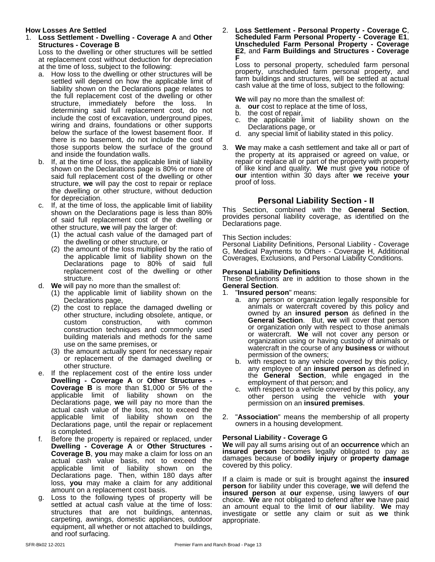#### **How Losses Are Settled**

1. **Loss Settlement - Dwelling - Coverage A** and **Other Structures - Coverage B**

Loss to the dwelling or other structures will be settled at replacement cost without deduction for depreciation at the time of loss, subject to the following:

- a. How loss to the dwelling or other structures will be settled will depend on how the applicable limit of liability shown on the Declarations page relates to the full replacement cost of the dwelling or other structure, immediately before the loss. In determining said full replacement cost, do not include the cost of excavation, underground pipes,  $\overline{c}$ wiring and drains, foundations or other supports below the surface of the lowest basement floor. If there is no basement, do not include the cost of those supports below the surface of the ground and inside the foundation walls.
- b. If, at the time of loss, the applicable limit of liability shown on the Declarations page is 80% or more of said full replacement cost of the dwelling or other structure, we will pay the cost to repair or replace the dwelling or other structure, without deduction for depreciation.
- c. If, at the time of loss, the applicable limit of liability shown on the Declarations page is less than 80% of said full replacement cost of the dwelling or other structure, **we** will pay the largerof:
	- (1) the actual cash value of the damaged part of the dwelling or other structure, or
	- (2) the amount of the loss multiplied by the ratio of the applicable limit of liability shown on the Declarations page to 80% of said full replacement cost of the dwelling or other structure.
- d. **We** will pay no more than the smallest of:
	- (1) the applicable limit of liability shown on the Declarations page,
	- (2) the cost to replace the damaged dwelling or other structure, including obsolete, antique, or custom construction, with common construction techniques and commonly used building materials and methods for the same use on the same premises, or
	- (3) the amount actually spent for necessary repair or replacement of the damaged dwelling or other structure.
- e. If the replacement cost of the entire loss under **Dwelling - Coverage A** or **Other Structures - Coverage B** is more than \$1,000 or 5% of the applicable limit of liability shown on the Declarations page, **we** will pay no more than the actual cash value of the loss, not to exceed the applicable limit of liability shown on the Declarations page, until the repair or replacement is completed.
- f. Before the property is repaired or replaced, under **Dwelling - Coverage A** or **Other Structures - Coverage B**, **you** may make a claim for loss on an actual cash value basis, not to exceed the applicable limit of liability shown on the Declarations page. Then, within 180 days after loss, **you** may make a claim for any additional amount on a replacement cost basis.
- g. Loss to the following types of property will be settled at actual cash value at the time of loss: structures that are not buildings, antennas, carpeting, awnings, domestic appliances, outdoor equipment, all whether or not attached to buildings, and roof surfacing.

#### 2. **Loss Settlement - Personal Property - Coverage C**, **Scheduled Farm Personal Property - Coverage E1**, **Unscheduled Farm Personal Property - Coverage E2**, and **Farm Buildings and Structures - Coverage F**

Loss to personal property, scheduled farm personal property, unscheduled farm personal property, and farm buildings and structures, will be settled at actual cash value at the time of loss, subject to the following:

**We** will pay no more than the smallest of:

- a. **our** cost to replace at the time of loss,
- b. the cost of repair,
- the applicable limit of liability shown on the Declarations page, or
- d. any special limit of liability stated in this policy.
- 3. **We** may make a cash settlement and take all or part of the property at its appraised or agreed on value, or repair or replace all or part of the property with property of like kind and quality. **We** must give **you** notice of **our** intention within 30 days after **we** receive **your** proof of loss.

#### **Personal Liability Section - II**

This Section, combined with the **General Section**, provides personal liability coverage, as identified on the Declarations page.

#### This Section includes:

Personal Liability Definitions, Personal Liability - Coverage G, Medical Payments to Others - Coverage H, Additional Coverages, Exclusions, and Personal Liability Conditions.

#### **Personal Liability Definitions**

These Definitions are in addition to those shown in the **General Section**.

1. "**Insured person**" means:

- a. any person or organization legally responsible for animals or watercraft covered by this policy and owned by an **insured person** as defined in the **General Section**. But, **we** will cover that person or organization only with respect to those animals or watercraft. **We** will not cover any person or organization using or having custody of animals or watercraft in the course of any **business** or without permission of the owners;
- b. with respect to any vehicle covered by this policy, any employee of an **insured person** as defined in the **General Section**, while engaged in the employment of that person; and
- with respect to a vehicle covered by this policy, any other person using the vehicle with **your** permission on an **insured premises**.
- 2. "**Association**" means the membership of all property owners in a housing development.

#### **Personal Liability - Coverage G**

**We** will pay all sums arising out of an **occurrence** which an **insured person** becomes legally obligated to pay as damages because of **bodily injury** or **property damage** covered by this policy.

If a claim is made or suit is brought against the **insured person** for liability under this coverage, **we** will defend the **insured person** at **our** expense, using lawyers of **our** choice. **We** are notobligated to defend after **we** have paid an amount equal to the limit of **our** liability. **We** may investigate or settle any claim or suit as **we** think appropriate.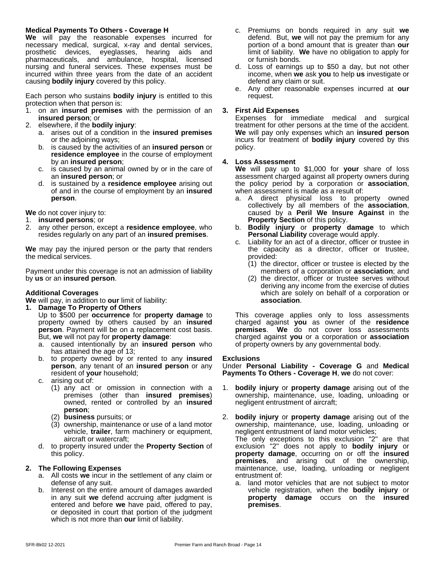#### **Medical Payments To Others - Coverage H**

**We** will pay the reasonable expenses incurred for necessary medical, surgical, x-ray and dental services, prosthetic devices, eyeglasses, hearing aids and pharmaceuticals, and ambulance, hospital, licensed nursing and funeral services. These expenses must be incurred within three years from the date of an accident causing **bodily injury** covered by this policy.

Each person who sustains **bodily injury** is entitled to this protection when that person is:

- 1. on an **insured premises** with the permission of an **insured person**; or
- 2. elsewhere, if the **bodily injury**:
	- a. arises out of a condition in the **insured premises** or the adjoining ways;
	- b. is caused by the activities of an **insured person** or **residence employee** in the course of employment by an **insured person**;
	- c. is caused by an animal owned by or in the care of an **insured person**; or
	- d. is sustained by a **residence employee** arising out of and in the course of employment by an **insured person**.

**We** do not cover injury to:

1. **insured persons**; or

2. any other person, except a **residence employee**, who resides regularly on any part of an **insured premises**.

**We** may pay the injured person or the party that renders the medical services.

Payment under this coverage is not an admission of liability by **us** or an **insured person**.

#### **Additional Coverages**

**We** will pay, in addition to **our** limit of liability:

**1. Damage To Property of Others**

Up to \$500 per **occurrence** for **property damage** to property owned by others caused by an **insured person**. Payment will be on a replacement cost basis. But, **we** will not pay for **property damage**:

- a. caused intentionally by an **insured person** who has attained the age of 13;
- b. to property owned by or rented to any **insured person**, any tenant of an **insured person** or any resident of **your** household;
- c. arising out of:
	- (1) any act or omission in connection with a premises (other than **insured premises**) owned, rented or controlled by an **insured person**;
	- (2) **business** pursuits; or
	- (3) ownership, maintenance or use of a land motor vehicle, **trailer**, farm machinery or equipment, aircraft or watercraft;
- d. to property insured underthe **Property Section** of this policy.

#### **2. The Following Expenses**

- a. All costs **we** incur in the settlement of any claim or defense of any suit.
- b. Interest on the entire amount of damages awarded in any suit **we** defend accruing after judgment is entered and before **we** have paid, offered to pay, or deposited in court that portion of the judgment which is not more than **our** limit of liability.
- c. Premiums on bonds required in any suit **we** defend. But, we will not pay the premium for any portion of a bond amount that is greater than **our** limit of liability. **We** have no obligation to apply for or furnish bonds.
- d. Loss of earnings up to \$50 a day, but not other income, when **we** ask **you** to help **us** investigate or defend any claim or suit.
- e. Any other reasonable expenses incurred at **our** request.

#### **3. First Aid Expenses**

Expenses for immediate medical and surgical treatment for other persons at the time of the accident. **We** will pay only expenses which an **insured person** incurs for treatment of **bodily injury** covered by this policy.

#### **4. Loss Assessment**

**We** will pay up to \$1,000 for **your** share of loss assessment charged againstall property owners during the policy period by a corporation or **association**, when assessment is made as a result of:

- a. A direct physical loss to property owned collectively by all members of the **association**, caused by a **Peril We Insure Against** in the **Property Section** of this policy.
- b. **Bodily injury** or **property damage** to which **Personal Liability** coverage would apply.
- c. Liability for an act of a director, officer or trustee in the capacity as a director, officer or trustee, provided:
	- (1) the director, officer or trustee is elected by the members of a corporation or **association**; and
	- (2) the director, officer or trustee serves without deriving any income from the exercise of duties which are solely on behalf of a corporation or **association**.

This coverage applies only to loss assessments charged against **you** as owner of the **residence premises**. **We** do not cover loss assessments charged against **you** or a corporation or **association** of property owners by any governmental body.

#### **Exclusions**

Under **Personal Liability - Coverage G** and **Medical Payments To Others - Coverage H**, **we** do not cover:

- 1. **bodily injury** or **property damage** arising out of the ownership, maintenance, use, loading, unloading or negligent entrustment of aircraft;
- 2. **bodily injury** or **property damage** arising out of the ownership, maintenance, use, loading, unloading or negligent entrustment of land motor vehicles; The only exceptions to this exclusion "2" are that exclusion "2" does not apply to **bodily injury** or **property damage**, occurring on or off the **insured premises**, and arising out of the ownership, maintenance, use, loading, unloading or negligent entrustment of:
	- a. land motor vehicles that are not subject to motor vehicle registration, when the **bodily injury** or **property damage** occurs on the **insured premises**.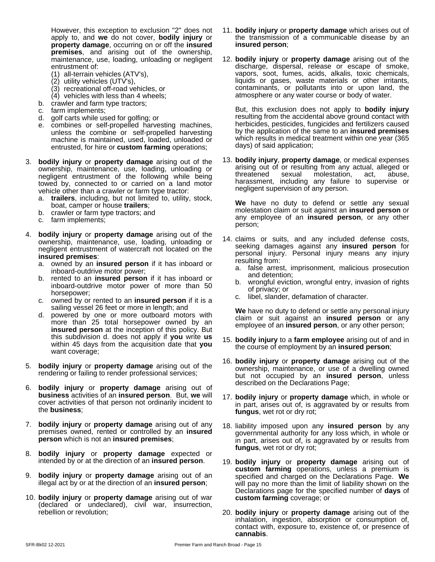However, this exception to exclusion "2" does not apply to, and **we** do notcover, **bodily injury** or **property damage**, occurring on or off the **insured premises**, and arising out of the ownership, maintenance, use, loading, unloading or negligent entrustment of:

- (1) all-terrain vehicles (ATV's),
- (2) utility vehicles (UTV's),
- (3) recreational off-road vehicles, or
- (4) vehicles with less than 4 wheels;
- b. crawler and farm type tractors;
- c. farm implements;
- d. golf carts while used for golfing; or
- e. combines or self-propelled harvesting machines, unless the combine or self-propelled harvesting machine is maintained, used, loaded, unloaded or entrusted, for hire or **custom farming** operations;
- 3. **bodily injury** or **property damage** arising out of the ownership, maintenance, use, loading, unloading or negligent entrustment of the following while being towed by, connected to or carried on a land motor vehicle other than a crawler or farm type tractor:
	- a. **trailers**, including, but not limited to, utility, stock, boat, camper or house **trailers**;
	- b. crawler or farm type tractors; and
	- c. farm implements;
- 4. **bodily injury** or **property damage** arising out of the ownership, maintenance, use, loading, unloading or negligent entrustment of watercraft not located on the **insured premises**:
	- a. owned by an **insured person** if it has inboard or inboard-outdrive motor power;
	- b. rented to an **insured person** if it has inboard or inboard-outdrive motor power of more than 50 horsepower;
	- c. owned by or rented to an **insured person** if it is a sailing vessel 26 feet or more in length; and
	- d. powered by one or more outboard motors with  $\frac{1}{\cosh n}$  or more than 25 total horsepower owned by an  $\frac{1}{2}$  claim of **insured person** at the inception of this policy. But this subdivision d. does not apply if **you** write **us** within 45 days from the acquisition date that **you** want coverage;
- 5. **bodily injury** or **property damage** arising out of the rendering or failing to render professional services;
- 6. **bodily injury** or **property damage** arising out of **business** activities of an **insured person**. But, **we** will cover activities of that person not ordinarily incident to the **business**;
- 7. **bodily injury** or **property damage** arising out of any premises owned, rented or controlled by an **insured person** which is not an **insured premises**;
- 8. **bodily injury** or **property damage** expected or intended by or at the direction of an **insured person**.
- 9. **bodily injury** or **property damage** arising out of an illegal act by or at the direction of an **insured person**;
- 10. **bodily injury** or **property damage** arising out of war (declared or undeclared), civil war, insurrection, rebellion or revolution;
- 11. **bodily injury** or **property damage** which arises out of the transmission of a communicable disease by an **insured person**;
- 12. **bodily injury** or **property damage** arising out of the discharge, dispersal, release or escape of smoke, vapors, soot, fumes, acids, alkalis, toxic chemicals, liquids or gases, waste materials or other irritants, contaminants, or pollutants into or upon land, the atmosphere or any water course or body of water.

But, this exclusion does not apply to **bodily injury** resulting from the accidental above ground contact with herbicides, pesticides, fungicides and fertilizers caused by the application of the same to an **insured premises** which results in medical treatment within one year (365 days) of said application;

13. **bodily injury**, **property damage**, or medical expenses arising out of or resulting from any actual, alleged or sexual molestation, act, abuse, harassment, including any failure to supervise or negligent supervision of any person.

**We** have no duty to defend or settle any sexual molestation claim or suit against an **insured person** or any employee of an **insured person**, or any other person;

- 14. claims or suits, and any included defense costs, seeking damages against any **insured person** for personal injury. Personal injury means any injury resulting from:
	- a. false arrest, imprisonment, malicious prosecution and detention;
	- b. wrongful eviction, wrongful entry, invasion of rights of privacy; or
	- c. libel, slander, defamation of character.

**We** have no duty to defend or settle any personal injury claim or suit against an **insured person** or any employee of an **insured person**, or any other person;

- 15. **bodily injury** to a **farm employee** arising out of and in the course of employment by an **insured person**;
- 16. **bodily injury** or **property damage** arising out of the ownership, maintenance, or use of a dwelling owned but not occupied by an **insured person**, unless described on the Declarations Page;
- 17. **bodily injury** or **property damage** which, in whole or in part, arises out of, is aggravated by or results from **fungus**, wet rot or dry rot;
- 18. liability imposed upon any **insured person** by any governmental authority for any loss which, in whole or in part, arises out of, is aggravated by or results from **fungus**, wet rot or dry rot;
- 19. **bodily injury** or **property damage** arising out of **custom farming** operations, unless a premium is specified and charged on the Declarations Page. **We** will pay no more than the limit of liability shown on the Declarations page for the specified number of **days** of **custom farming** coverage; or
- 20. **bodily injury** or **property damage** arising out of the inhalation, ingestion, absorption or consumption of, contact with, exposure to, existence of, or presence of **cannabis**.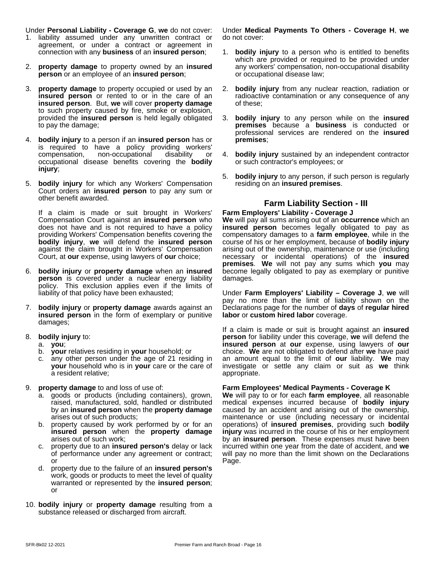Under **Personal Liability - Coverage G**, **we** do not cover:

- 1. liability assumed under any unwritten contract or agreement, or under a contract or agreement in connection with any **business** of an **insured person**;
- 2. **property damage** to property owned by an **insured person** or an employee of an **insured person**;
- 3. **property damage** to property occupied or used by an **insured person** or rented to or in the care of an **insured person**. But, **we** will cover **property damage** to such property caused by fire, smoke or explosion, provided the **insured person** is held legally obligated to pay the damage;
- 4. **bodily injury** to a person if an **insured person** has or is required to have a policy providing workers' compensation, non-occupational disability or occupational disease benefits covering the **bodily injury**;
- 5. **bodily injury** for which any Workers' Compensation Court orders an **insured person** to pay any sum or other benefit awarded.

If a claim is made or suit brought in Workers' Compensation Court against an **insured person** who does not have and is not required to have a policy providing Workers' Compensation benefits covering the **bodily injury**, **we** will defend the **insured person** against the claim brought in Workers' Compensation Court, at **our** expense, using lawyers of **our** choice;

- 6. **bodily injury** or **property damage** when an **insured person** is covered under a nuclear energy liability policy. This exclusion applies even if the limits of liability of that policy have been exhausted;
- 7. **bodily injury** or **property damage** awards against an **insured person** in the form of exemplary or punitive damages;
- 8. **bodily injury** to:
	- a. **you**;
	- b. **your** relatives residing in **your** household; or
	- any other person under the age of 21 residing in **your** household who is in **your** care or the care of a resident relative;
- 9. **property damage** to and loss of use of:
	- a. goods or products (including containers), grown, raised, manufactured, sold, handled or distributed by an **insured person** when the **property damage** arises out of such products;
	- b. property caused by work performed by or for an **insured person** when the **property damage** arises out of such work;
	- c. property due to an **insured person's** delay or lack of performance under any agreement or contract; or
	- d. property due to the failure of an **insured person's** work, goods or products to meet the level of quality warranted or represented by the **insured person**; or
- 10. **bodily injury** or **property damage** resulting from a substance released or discharged from aircraft.

Under **Medical Payments To Others - Coverage H**, **we** do not cover:

- 1. **bodily injury** to a person who is entitled to benefits which are provided or required to be provided under any workers' compensation, non-occupational disability or occupational disease law;
- 2. **bodily injury** from any nuclear reaction, radiation or radioactive contamination or any consequence of any of these;
- 3. **bodily injury** to any person while on the **insured premises** because a **business** is conducted or professional services are rendered on the **insured premises**;
- 4. **bodily injury** sustained by an independent contractor or such contractor's employees; or
- 5. **bodily injury** to any person, if such person is regularly residing on an **insured premises**.

## **Farm Liability Section - III**

#### **Farm Employers' Liability - Coverage J**

**We** will pay all sums arising out of an **occurrence** which an **insured person** becomes legally obligated to pay as compensatory damages to a **farm employee**, while in the course of his or her employment, because of **bodily injury** arising out of the ownership, maintenance or use (including necessary or incidental operations) of the **insured premises**. **We** will not pay any sums which **you** may become legally obligated to pay as exemplary or punitive damages.

Under **Farm Employers' Liability – Coverage J**, **we** will pay no more than the limit of liability shown on the Declarations page for the number of **days** of **regular hired labor** or **custom hired labor** coverage.

If a claim is made or suit is brought against an **insured person** for liability under this coverage, **we** will defend the **insured person** at **our** expense, using lawyers of **our** choice. We are not obligated to defend after we have paid an amount equal to the limit of **our** liability. **We** may investigate or settle any claim or suit as **we** think appropriate.

#### **Farm Employees' Medical Payments - Coverage K**

**We** will pay to or foreach **farm employee**, all reasonable medical expenses incurred because of **bodily injury** caused by an accident and arising out of the ownership, maintenance or use (including necessary or incidental operations) of **insured premises**, providing such **bodily injury** was incurred in the course of his or her employment by an **insured person**. These expenses must have been incurred within one year from the date of accident, and **we** will pay no more than the limit shown on the Declarations Page.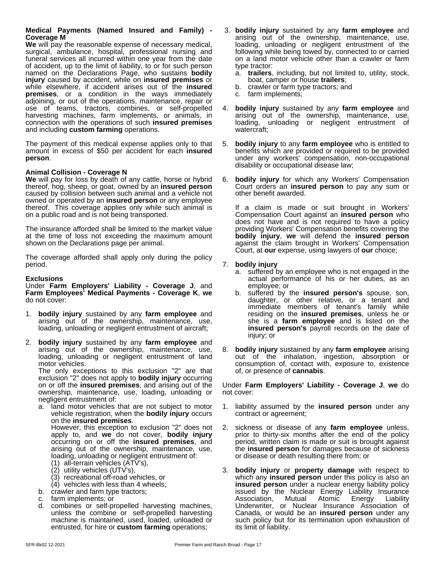#### **Medical Payments (Named Insured and Family) - Coverage M**

**We** will pay the reasonable expense of necessary medical, surgical, ambulance, hospital, professional nursing and funeral services all incurred within one year from the date of accident, up to the limit of liability, to or for such person named on the Declarations Page, who sustains **bodily injury** caused by accident, while on **insured premises** or while elsewhere, if accident arises out of the **insured premises**, or a condition in the ways immediately adjoining, or out of the operations, maintenance, repair or use of teams, tractors, combines, or self-propelled 4. bodily in harvesting machines, farm implements, or animals, in arising connection with the operations of such **insured premises** and including **custom farming** operations.

The payment of this medical expense applies only to that amount in excess of \$50 per accident for each **insured person**.

#### **Animal Collision - Coverage N**

We will pay for loss by death of any cattle, horse or hybrid 6. thereof, hog, sheep, or goat, owned by an **insured person** caused by collision between such animal and a vehicle not owned or operated by an **insured person** or any employee thereof. This coverage applies only while such animal is on a public road and is not being transported.

The insurance afforded shall be limited to the market value at the time of loss not exceeding the maximum amount shown on the Declarations page per animal.

The coverage afforded shall apply only during the policy period.

#### **Exclusions**

Under **Farm Employers' Liability - Coverage J**, and **Farm Employees' Medical Payments - Coverage K**, **we** do not cover:

- 1. **bodily injury** sustained by any **farm employee** and arising out of the ownership, maintenance, use, loading, unloading or negligent entrustment of aircraft;
- 2. **bodily injury** sustained by any **farm employee** and arising out of the ownership, maintenance, use, loading, unloading or negligent entrustment of land motor vehicles.

The only exceptions to this exclusion "2" are that exclusion "2" does not apply to **bodily injury** occurring on or off the **insured premises**, and arising out of the ownership, maintenance, use, loading, unloading or negligent entrustment of:

- a. land motor vehicles that are not subject to motor vehicle registration, when the **bodily injury** occurs on the **insured premises**. However, this exception to exclusion "2" does not apply to, and **we** do not cover, **bodily injury** occurring on or off the **insured premises**, and arising out of the ownership, maintenance, use, loading, unloading or negligent entrustment of: (1) all-terrain vehicles (ATV's),
	-
	- (2) utility vehicles (UTV's),
	- (3) recreational off-road vehicles, or
	- (4) vehicles with less than 4 wheels;
- b. crawler and farm type tractors;
- c. farm implements; or
- combines or self-propelled harvesting machines, unless the combine or self-propelled harvesting machine is maintained, used, loaded, unloaded or entrusted, for hire or **custom farming** operations;
- 3. **bodily injury** sustained by any **farm employee** and arising out of the ownership, maintenance, use, loading, unloading or negligent entrustment of the following while being towed by, connected to or carried on a land motor vehicle other than a crawler or farm type tractor:
	- a. **trailers**, including, but not limited to, utility, stock, boat, camper or house **trailers**;
	- b. crawler or farm type tractors; and
	- c. farm implements;
- 4. **bodily injury** sustained by any **farm employee** and arising out of the ownership, maintenance, use, loading, unloading or negligent entrustment of watercraft;
- 5. **bodily injury** to any **farm employee** who is entitled to benefits which are provided or required to be provided under any workers' compensation, non-occupational disability or occupational disease law;
- **bodily injury** for which any Workers' Compensation Court orders an **insured person** to pay any sum or other benefit awarded.

If a claim is made or suit brought in Workers' Compensation Court against an **insured person** who does not have and is not required to have a policy providing Workers' Compensation benefits covering the **bodily injury**, **we** will defend the **insured person** against the claim brought in Workers' Compensation Court, at **our** expense, using lawyers of **our** choice;

#### 7. **bodily injury**

- a. suffered by an employee who is not engaged in the actual performance of his or her duties, as an employee; or
- b. suffered by the **insured person's** spouse, son, daughter, or other relative, or a tenant and immediate members of tenant's family while residing on the **insured premises**, unless he or she is a **farm employee** and is listed on the **insured person's** payroll records on the date of injury; or
- 8. **bodily injury** sustained by any **farm employee** arising out of the inhalation, ingestion, absorption or consumption of, contact with, exposure to, existence of, or presence of **cannabis**.

Under **Farm Employers' Liability - Coverage J**, **we** do not cover:

- 1. liability assumed by the **insured person** under any contract or agreement;
- 2. sickness or disease of any **farm employee** unless, prior to thirty-six months after the end of the policy period, written claim is made or suit is brought against the **insured person** for damages because of sickness or disease or death resulting there from; or
- 3. **bodily injury** or **property damage** with respect to which any **insured person** under this policy is also an **insured person** under a nuclear energy liability policy issued by the Nuclear Energy Liability Insurance<br>Association, Mutual Atomic Energy Liability Association, Mutual Atomic Energy Liability Underwriter, or Nuclear Insurance Association of Canada, or would be an **insured person** under any such policy but for its termination upon exhaustion of its limit of liability.